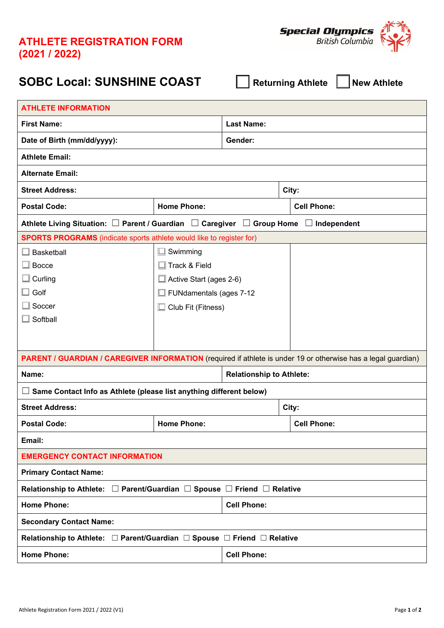## **ATHLETE REGISTRATION FORM (2021 / 2022)**



## **SOBC Local: SUNSHINE COAST** ☐ **Returning Athlete** ☐ **New Athlete**

| <b>ATHLETE INFORMATION</b>                                                                                           |                                |                                 |                    |                    |  |  |
|----------------------------------------------------------------------------------------------------------------------|--------------------------------|---------------------------------|--------------------|--------------------|--|--|
| <b>First Name:</b>                                                                                                   |                                | <b>Last Name:</b>               |                    |                    |  |  |
| Date of Birth (mm/dd/yyyy):                                                                                          |                                | Gender:                         |                    |                    |  |  |
| <b>Athlete Email:</b>                                                                                                |                                |                                 |                    |                    |  |  |
| <b>Alternate Email:</b>                                                                                              |                                |                                 |                    |                    |  |  |
| <b>Street Address:</b>                                                                                               | City:                          |                                 |                    |                    |  |  |
| <b>Postal Code:</b>                                                                                                  | <b>Home Phone:</b>             |                                 | <b>Cell Phone:</b> |                    |  |  |
| Athlete Living Situation: $\square$ Parent / Guardian $\square$ Caregiver $\square$ Group Home $\square$ Independent |                                |                                 |                    |                    |  |  |
| <b>SPORTS PROGRAMS</b> (indicate sports athlete would like to register for)                                          |                                |                                 |                    |                    |  |  |
| <b>Basketball</b>                                                                                                    | $\square$ Swimming             |                                 |                    |                    |  |  |
| <b>Bocce</b>                                                                                                         | $\Box$ Track & Field           |                                 |                    |                    |  |  |
| Curling                                                                                                              | $\Box$ Active Start (ages 2-6) |                                 |                    |                    |  |  |
| Golf                                                                                                                 | $\Box$ FUNdamentals (ages 7-12 |                                 |                    |                    |  |  |
| Soccer                                                                                                               | $\Box$ Club Fit (Fitness)      |                                 |                    |                    |  |  |
| Softball                                                                                                             |                                |                                 |                    |                    |  |  |
|                                                                                                                      |                                |                                 |                    |                    |  |  |
| PARENT / GUARDIAN / CAREGIVER INFORMATION (required if athlete is under 19 or otherwise has a legal guardian)        |                                |                                 |                    |                    |  |  |
| Name:                                                                                                                |                                | <b>Relationship to Athlete:</b> |                    |                    |  |  |
| Same Contact Info as Athlete (please list anything different below)                                                  |                                |                                 |                    |                    |  |  |
| <b>Street Address:</b><br>City:                                                                                      |                                |                                 |                    |                    |  |  |
| <b>Postal Code:</b>                                                                                                  | <b>Home Phone:</b>             |                                 |                    | <b>Cell Phone:</b> |  |  |
| Email:                                                                                                               |                                |                                 |                    |                    |  |  |
| <b>EMERGENCY CONTACT INFORMATION</b>                                                                                 |                                |                                 |                    |                    |  |  |
| <b>Primary Contact Name:</b>                                                                                         |                                |                                 |                    |                    |  |  |
| Relationship to Athlete: $\Box$ Parent/Guardian $\Box$ Spouse $\Box$ Friend $\Box$ Relative                          |                                |                                 |                    |                    |  |  |
| <b>Home Phone:</b>                                                                                                   | <b>Cell Phone:</b>             |                                 |                    |                    |  |  |
| <b>Secondary Contact Name:</b>                                                                                       |                                |                                 |                    |                    |  |  |
| Relationship to Athlete: □ Parent/Guardian □ Spouse □ Friend □ Relative                                              |                                |                                 |                    |                    |  |  |
| <b>Home Phone:</b>                                                                                                   |                                | <b>Cell Phone:</b>              |                    |                    |  |  |